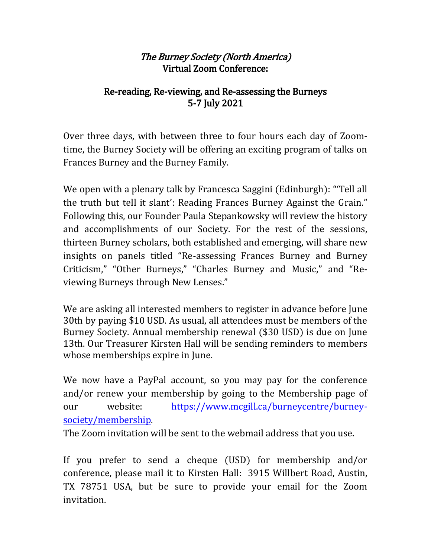## The Burney Society (North America) Virtual Zoom Conference:

## Re-reading, Re-viewing, and Re-assessing the Burneys 5-7 July 2021

Over three days, with between three to four hours each day of Zoomtime, the Burney Society will be offering an exciting program of talks on Frances Burney and the Burney Family.

We open with a plenary talk by Francesca Saggini (Edinburgh): "'Tell all the truth but tell it slant': Reading Frances Burney Against the Grain." Following this, our Founder Paula Stepankowsky will review the history and accomplishments of our Society. For the rest of the sessions, thirteen Burney scholars, both established and emerging, will share new insights on panels titled "Re-assessing Frances Burney and Burney Criticism," "Other Burneys," "Charles Burney and Music," and "Reviewing Burneys through New Lenses."

We are asking all interested members to register in advance before June 30th by paying \$10 USD. As usual, all attendees must be members of the Burney Society. Annual membership renewal (\$30 USD) is due on June 13th. Our Treasurer Kirsten Hall will be sending reminders to members whose memberships expire in June.

We now have a PayPal account, so you may pay for the conference and/or renew your membership by going to the Membership page of our website: [https://www.mcgill.ca/burneycentre/burney](https://www.mcgill.ca/burneycentre/burney-society/membership)[society/membership.](https://www.mcgill.ca/burneycentre/burney-society/membership)

The Zoom invitation will be sent to the webmail address that you use.

If you prefer to send a cheque (USD) for membership and/or conference, please mail it to Kirsten Hall: 3915 Willbert Road, Austin, TX 78751 USA, but be sure to provide your email for the Zoom invitation.